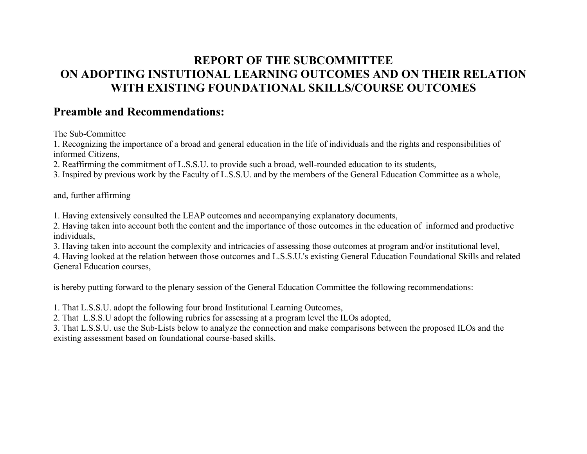# **REPORT OF THE SUBCOMMITTEE ON ADOPTING INSTUTIONAL LEARNING OUTCOMES AND ON THEIR RELATION WITH EXISTING FOUNDATIONAL SKILLS/COURSE OUTCOMES**

## **Preamble and Recommendations:**

The Sub-Committee

1. Recognizing the importance of a broad and general education in the life of individuals and the rights and responsibilities of informed Citizens,

2. Reaffirming the commitment of L.S.S.U. to provide such a broad, well-rounded education to its students,

3. Inspired by previous work by the Faculty of L.S.S.U. and by the members of the General Education Committee as a whole,

and, further affirming

1. Having extensively consulted the LEAP outcomes and accompanying explanatory documents,

2. Having taken into account both the content and the importance of those outcomes in the education of informed and productive individuals,

3. Having taken into account the complexity and intricacies of assessing those outcomes at program and/or institutional level,

4. Having looked at the relation between those outcomes and L.S.S.U.'s existing General Education Foundational Skills and related General Education courses,

is hereby putting forward to the plenary session of the General Education Committee the following recommendations:

1. That L.S.S.U. adopt the following four broad Institutional Learning Outcomes,

2. That L.S.S.U adopt the following rubrics for assessing at a program level the ILOs adopted,

3. That L.S.S.U. use the Sub-Lists below to analyze the connection and make comparisons between the proposed ILOs and the existing assessment based on foundational course-based skills.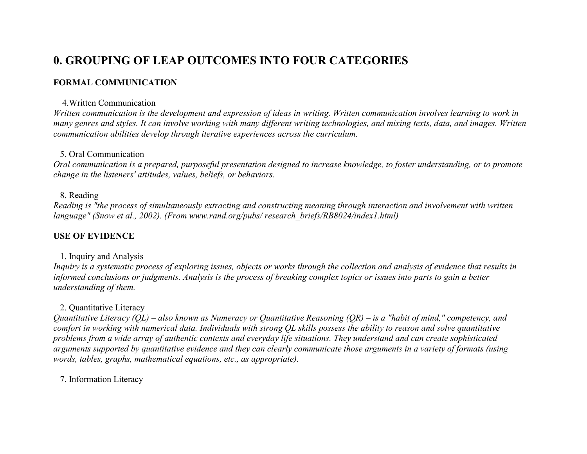# **0. GROUPING OF LEAP OUTCOMES INTO FOUR CATEGORIES**

#### **FORMAL COMMUNICATION**

#### 4.Written Communication

*Written communication is the development and expression of ideas in writing. Written communication involves learning to work in many genres and styles. It can involve working with many different writing technologies, and mixing texts, data, and images. Written communication abilities develop through iterative experiences across the curriculum.*

#### 5. Oral Communication

*Oral communication is a prepared, purposeful presentation designed to increase knowledge, to foster understanding, or to promote change in the listeners' attitudes, values, beliefs, or behaviors.*

#### 8. Reading

*Reading is "the process of simultaneously extracting and constructing meaning through interaction and involvement with written language" (Snow et al., 2002). (From www.rand.org/pubs/ research\_briefs/RB8024/index1.html)*

#### **USE OF EVIDENCE**

#### 1. Inquiry and Analysis

*Inquiry is a systematic process of exploring issues, objects or works through the collection and analysis of evidence that results in informed conclusions or judgments. Analysis is the process of breaking complex topics or issues into parts to gain a better understanding of them.*

#### 2. Quantitative Literacy

*Quantitative Literacy (QL) – also known as Numeracy or Quantitative Reasoning (QR) – is a "habit of mind," competency, and comfort in working with numerical data. Individuals with strong QL skills possess the ability to reason and solve quantitative problems from a wide array of authentic contexts and everyday life situations. They understand and can create sophisticated arguments supported by quantitative evidence and they can clearly communicate those arguments in a variety of formats (using words, tables, graphs, mathematical equations, etc., as appropriate).*

7. Information Literacy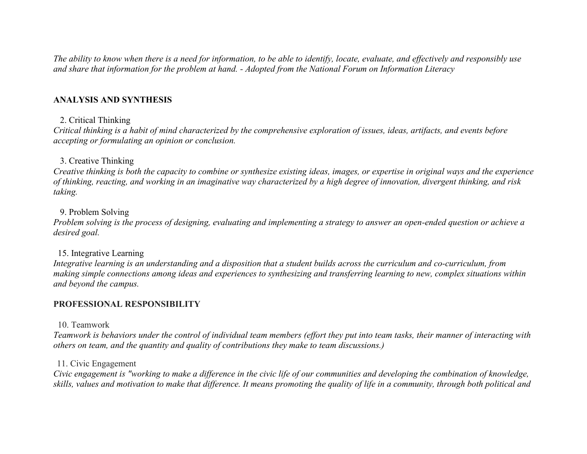*The ability to know when there is a need for information, to be able to identify, locate, evaluate, and effectively and responsibly use and share that information for the problem at hand. - Adopted from the National Forum on Information Literacy*

#### **ANALYSIS AND SYNTHESIS**

#### 2. Critical Thinking

*Critical thinking is a habit of mind characterized by the comprehensive exploration of issues, ideas, artifacts, and events before accepting or formulating an opinion or conclusion.*

#### 3. Creative Thinking

*Creative thinking is both the capacity to combine or synthesize existing ideas, images, or expertise in original ways and the experience of thinking, reacting, and working in an imaginative way characterized by a high degree of innovation, divergent thinking, and risk taking.*

#### 9. Problem Solving

*Problem solving is the process of designing, evaluating and implementing a strategy to answer an open-ended question or achieve a desired goal.*

#### 15. Integrative Learning

*Integrative learning is an understanding and a disposition that a student builds across the curriculum and co-curriculum, from making simple connections among ideas and experiences to synthesizing and transferring learning to new, complex situations within and beyond the campus.*

#### **PROFESSIONAL RESPONSIBILITY**

#### 10. Teamwork

*Teamwork is behaviors under the control of individual team members (effort they put into team tasks, their manner of interacting with others on team, and the quantity and quality of contributions they make to team discussions.)*

#### 11. Civic Engagement

*Civic engagement is "working to make a difference in the civic life of our communities and developing the combination of knowledge, skills, values and motivation to make that difference. It means promoting the quality of life in a community, through both political and*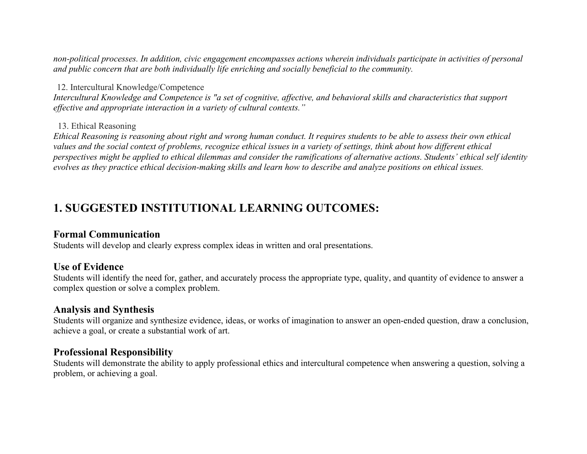*non-political processes. In addition, civic engagement encompasses actions wherein individuals participate in activities of personal and public concern that are both individually life enriching and socially beneficial to the community.*

#### 12. Intercultural Knowledge/Competence

*Intercultural Knowledge and Competence is "a set of cognitive, affective, and behavioral skills and characteristics that support effective and appropriate interaction in a variety of cultural contexts."*

#### 13. Ethical Reasoning

*Ethical Reasoning is reasoning about right and wrong human conduct. It requires students to be able to assess their own ethical values and the social context of problems, recognize ethical issues in a variety of settings, think about how different ethical perspectives might be applied to ethical dilemmas and consider the ramifications of alternative actions. Students' ethical self identity evolves as they practice ethical decision-making skills and learn how to describe and analyze positions on ethical issues.*

# **1. SUGGESTED INSTITUTIONAL LEARNING OUTCOMES:**

#### **Formal Communication**

Students will develop and clearly express complex ideas in written and oral presentations.

#### **Use of Evidence**

Students will identify the need for, gather, and accurately process the appropriate type, quality, and quantity of evidence to answer a complex question or solve a complex problem.

#### **Analysis and Synthesis**

Students will organize and synthesize evidence, ideas, or works of imagination to answer an open-ended question, draw a conclusion, achieve a goal, or create a substantial work of art.

#### **Professional Responsibility**

Students will demonstrate the ability to apply professional ethics and intercultural competence when answering a question, solving a problem, or achieving a goal.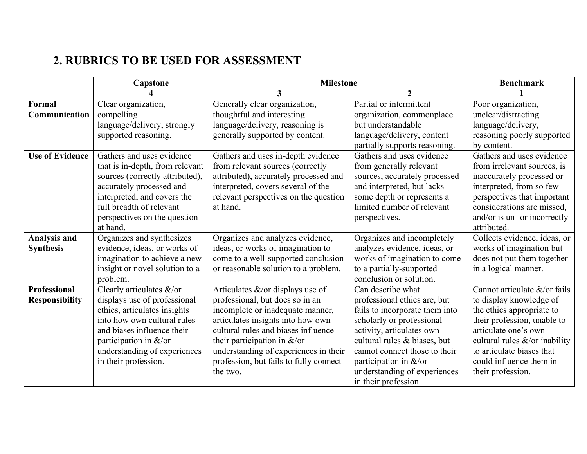# **2. RUBRICS TO BE USED FOR ASSESSMENT**

|                        | Capstone                        | <b>Milestone</b>                       |                                | <b>Benchmark</b>                 |
|------------------------|---------------------------------|----------------------------------------|--------------------------------|----------------------------------|
|                        |                                 |                                        |                                |                                  |
| Formal                 | Clear organization,             | Generally clear organization,          | Partial or intermittent        | Poor organization,               |
| Communication          | compelling                      | thoughtful and interesting             | organization, commonplace      | unclear/distracting              |
|                        | language/delivery, strongly     | language/delivery, reasoning is        | but understandable             | language/delivery,               |
|                        | supported reasoning.            | generally supported by content.        | language/delivery, content     | reasoning poorly supported       |
|                        |                                 |                                        | partially supports reasoning.  | by content.                      |
| <b>Use of Evidence</b> | Gathers and uses evidence       | Gathers and uses in-depth evidence     | Gathers and uses evidence      | Gathers and uses evidence        |
|                        | that is in-depth, from relevant | from relevant sources (correctly       | from generally relevant        | from irrelevant sources, is      |
|                        | sources (correctly attributed), | attributed), accurately processed and  | sources, accurately processed  | inaccurately processed or        |
|                        | accurately processed and        | interpreted, covers several of the     | and interpreted, but lacks     | interpreted, from so few         |
|                        | interpreted, and covers the     | relevant perspectives on the question  | some depth or represents a     | perspectives that important      |
|                        | full breadth of relevant        | at hand.                               | limited number of relevant     | considerations are missed,       |
|                        | perspectives on the question    |                                        | perspectives.                  | and/or is un- or incorrectly     |
|                        | at hand.                        |                                        |                                | attributed.                      |
| <b>Analysis and</b>    | Organizes and synthesizes       | Organizes and analyzes evidence,       | Organizes and incompletely     | Collects evidence, ideas, or     |
| <b>Synthesis</b>       | evidence, ideas, or works of    | ideas, or works of imagination to      | analyzes evidence, ideas, or   | works of imagination but         |
|                        | imagination to achieve a new    | come to a well-supported conclusion    | works of imagination to come   | does not put them together       |
|                        | insight or novel solution to a  | or reasonable solution to a problem.   | to a partially-supported       | in a logical manner.             |
|                        | problem.                        |                                        | conclusion or solution.        |                                  |
| <b>Professional</b>    | Clearly articulates &/or        | Articulates &/or displays use of       | Can describe what              | Cannot articulate &/or fails     |
| <b>Responsibility</b>  | displays use of professional    | professional, but does so in an        | professional ethics are, but   | to display knowledge of          |
|                        | ethics, articulates insights    | incomplete or inadequate manner,       | fails to incorporate them into | the ethics appropriate to        |
|                        | into how own cultural rules     | articulates insights into how own      | scholarly or professional      | their profession, unable to      |
|                        | and biases influence their      | cultural rules and biases influence    | activity, articulates own      | articulate one's own             |
|                        | participation in &/or           | their participation in $&\x0$          | cultural rules & biases, but   | cultural rules $&$ /or inability |
|                        | understanding of experiences    | understanding of experiences in their  | cannot connect those to their  | to articulate biases that        |
|                        | in their profession.            | profession, but fails to fully connect | participation in &/or          | could influence them in          |
|                        |                                 | the two.                               | understanding of experiences   | their profession.                |
|                        |                                 |                                        | in their profession.           |                                  |